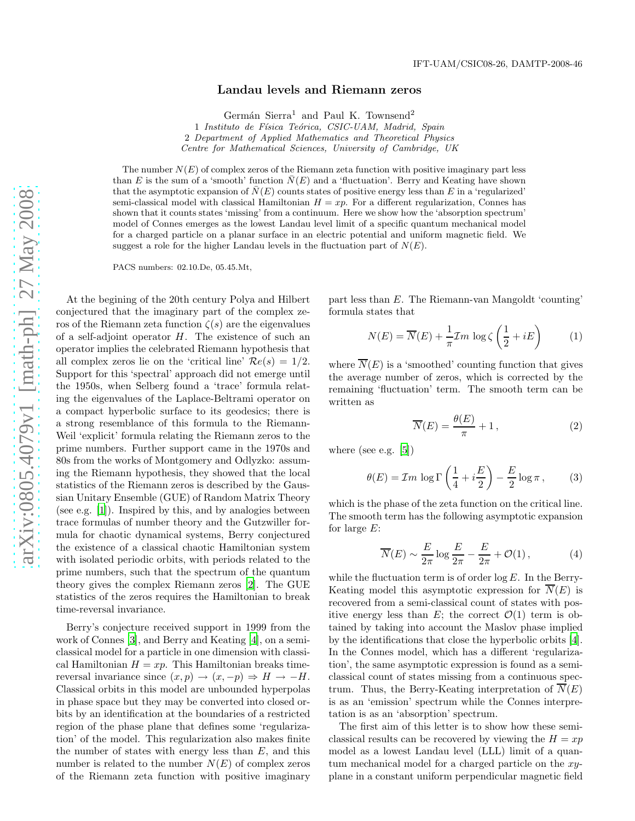## Landau levels and Riemann zeros

Germán Sierra<sup>1</sup> and Paul K. Townsend<sup>2</sup>

1 Instituto de Física Teórica, CSIC-UAM, Madrid, Spain 2 Department of Applied Mathematics and Theoretical Physics Centre for Mathematical Sciences, University of Cambridge, UK

The number  $N(E)$  of complex zeros of the Riemann zeta function with positive imaginary part less than E is the sum of a 'smooth' function  $\overline{N}(E)$  and a 'fluctuation'. Berry and Keating have shown that the asymptotic expansion of  $\overline{N}(E)$  counts states of positive energy less than E in a 'regularized' semi-classical model with classical Hamiltonian  $H = xp$ . For a different regularization, Connes has shown that it counts states 'missing' from a continuum. Here we show how the 'absorption spectrum' model of Connes emerges as the lowest Landau level limit of a specific quantum mechanical model for a charged particle on a planar surface in an electric potential and uniform magnetic field. We suggest a role for the higher Landau levels in the fluctuation part of  $N(E)$ .

PACS numbers: 02.10.De, 05.45.Mt,

At the begining of the 20th century Polya and Hilbert conjectured that the imaginary part of the complex zeros of the Riemann zeta function  $\zeta(s)$  are the eigenvalues of a self-adjoint operator  $H$ . The existence of such an operator implies the celebrated Riemann hypothesis that all complex zeros lie on the 'critical line'  $\mathcal{R}e(s) = 1/2$ . Support for this 'spectral' approach did not emerge until the 1950s, when Selberg found a 'trace' formula relating the eigenvalues of the Laplace-Beltrami operator on a compact hyperbolic surface to its geodesics; there is a strong resemblance of this formula to the Riemann-Weil 'explicit' formula relating the Riemann zeros to the prime numbers. Further support came in the 1970s and 80s from the works of Montgomery and Odlyzko: assuming the Riemann hypothesis, they showed that the local statistics of the Riemann zeros is described by the Gaussian Unitary Ensemble (GUE) of Random Matrix Theory (see e.g. [\[1\]](#page-3-0)). Inspired by this, and by analogies between trace formulas of number theory and the Gutzwiller formula for chaotic dynamical systems, Berry conjectured the existence of a classical chaotic Hamiltonian system with isolated periodic orbits, with periods related to the prime numbers, such that the spectrum of the quantum theory gives the complex Riemann zeros [\[2](#page-3-1)]. The GUE statistics of the zeros requires the Hamiltonian to break time-reversal invariance.

Berry's conjecture received support in 1999 from the work of Connes [\[3](#page-3-2)], and Berry and Keating [\[4](#page-3-3)], on a semiclassical model for a particle in one dimension with classical Hamiltonian  $H = xp$ . This Hamiltonian breaks timereversal invariance since  $(x, p) \rightarrow (x, -p) \Rightarrow H \rightarrow -H$ . Classical orbits in this model are unbounded hyperpolas in phase space but they may be converted into closed orbits by an identification at the boundaries of a restricted region of the phase plane that defines some 'regularization' of the model. This regularization also makes finite the number of states with energy less than  $E$ , and this number is related to the number  $N(E)$  of complex zeros of the Riemann zeta function with positive imaginary

part less than E. The Riemann-van Mangoldt 'counting' formula states that

$$
N(E) = \overline{N}(E) + \frac{1}{\pi} \mathcal{I}m \log \zeta \left(\frac{1}{2} + iE\right) \tag{1}
$$

where  $\overline{N}(E)$  is a 'smoothed' counting function that gives the average number of zeros, which is corrected by the remaining 'fluctuation' term. The smooth term can be written as

<span id="page-0-2"></span>
$$
\overline{N}(E) = \frac{\theta(E)}{\pi} + 1, \qquad (2)
$$

where (see e.g. [\[5\]](#page-3-4))

<span id="page-0-1"></span>
$$
\theta(E) = \mathcal{I}m \, \log \Gamma \left(\frac{1}{4} + i\frac{E}{2}\right) - \frac{E}{2} \log \pi \,,\tag{3}
$$

which is the phase of the zeta function on the critical line. The smooth term has the following asymptotic expansion for large  $E$ :

<span id="page-0-0"></span>
$$
\overline{N}(E) \sim \frac{E}{2\pi} \log \frac{E}{2\pi} - \frac{E}{2\pi} + \mathcal{O}(1), \tag{4}
$$

while the fluctuation term is of order  $\log E$ . In the Berry-Keating model this asymptotic expression for  $N(E)$  is recovered from a semi-classical count of states with positive energy less than E; the correct  $\mathcal{O}(1)$  term is obtained by taking into account the Maslov phase implied by the identifications that close the hyperbolic orbits [\[4\]](#page-3-3). In the Connes model, which has a different 'regularization', the same asymptotic expression is found as a semiclassical count of states missing from a continuous spectrum. Thus, the Berry-Keating interpretation of  $\overline{N}(E)$ is as an 'emission' spectrum while the Connes interpretation is as an 'absorption' spectrum.

The first aim of this letter is to show how these semiclassical results can be recovered by viewing the  $H = xp$ model as a lowest Landau level (LLL) limit of a quantum mechanical model for a charged particle on the xyplane in a constant uniform perpendicular magnetic field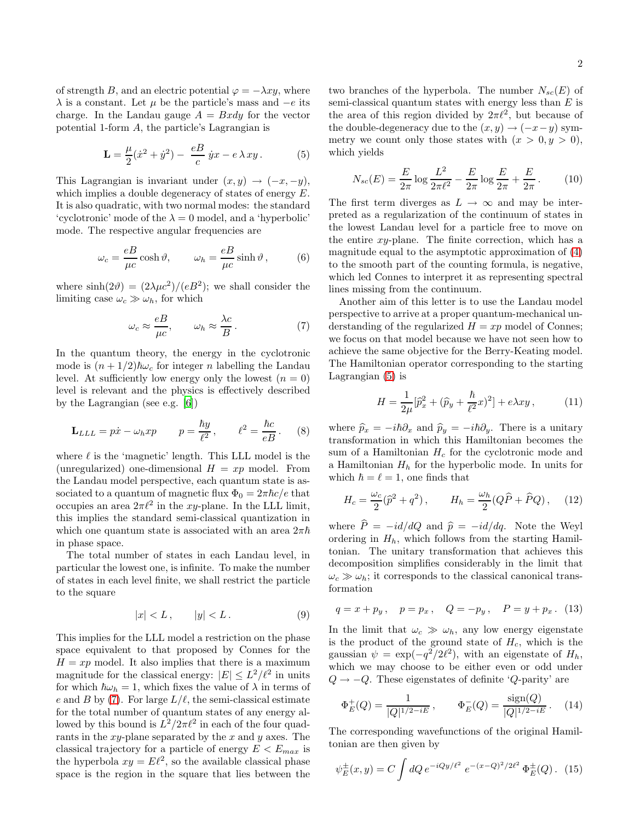of strength B, and an electric potential  $\varphi = -\lambda x y$ , where  $\lambda$  is a constant. Let  $\mu$  be the particle's mass and  $-e$  its charge. In the Landau gauge  $A = Bxdy$  for the vector potential 1-form A, the particle's Lagrangian is

<span id="page-1-1"></span>
$$
\mathbf{L} = \frac{\mu}{2}(\dot{x}^2 + \dot{y}^2) - \frac{eB}{c}\dot{y}x - e\,\lambda\,xy\,. \tag{5}
$$

This Lagrangian is invariant under  $(x, y) \rightarrow (-x, -y)$ , which implies a double degeneracy of states of energy E. It is also quadratic, with two normal modes: the standard 'cyclotronic' mode of the  $\lambda = 0$  model, and a 'hyperbolic' mode. The respective angular frequencies are

$$
\omega_c = \frac{eB}{\mu c} \cosh \vartheta, \qquad \omega_h = \frac{eB}{\mu c} \sinh \vartheta, \qquad (6)
$$

where  $\sinh(2\theta) = (2\lambda\mu c^2)/(eB^2)$ ; we shall consider the limiting case  $\omega_c \gg \omega_h$ , for which

<span id="page-1-0"></span>
$$
\omega_c \approx \frac{eB}{\mu c}, \qquad \omega_h \approx \frac{\lambda c}{B}.
$$
 (7)

In the quantum theory, the energy in the cyclotronic mode is  $(n+1/2)\hbar\omega_c$  for integer n labelling the Landau level. At sufficiently low energy only the lowest  $(n = 0)$ level is relevant and the physics is effectively described by the Lagrangian (see e.g. [\[6](#page-3-5)])

$$
\mathbf{L}_{LLL} = p\dot{x} - \omega_h x p \qquad p = \frac{\hbar y}{\ell^2}, \qquad \ell^2 = \frac{\hbar c}{eB}. \tag{8}
$$

where  $\ell$  is the 'magnetic' length. This LLL model is the (unregularized) one-dimensional  $H = xp$  model. From the Landau model perspective, each quantum state is associated to a quantum of magnetic flux  $\Phi_0 = 2\pi \hbar c/e$  that occupies an area  $2\pi l^2$  in the xy-plane. In the LLL limit, this implies the standard semi-classical quantization in which one quantum state is associated with an area  $2\pi\hbar$ in phase space.

The total number of states in each Landau level, in particular the lowest one, is infinite. To make the number of states in each level finite, we shall restrict the particle to the square

$$
|x| < L \,, \qquad |y| < L \,. \tag{9}
$$

This implies for the LLL model a restriction on the phase space equivalent to that proposed by Connes for the  $H = xp$  model. It also implies that there is a maximum magnitude for the classical energy:  $|E| \leq L^2/\ell^2$  in units for which  $\hbar\omega_h = 1$ , which fixes the value of  $\lambda$  in terms of e and B by [\(7\)](#page-1-0). For large  $L/\ell$ , the semi-classical estimate for the total number of quantum states of any energy allowed by this bound is  $L^2/2\pi\ell^2$  in each of the four quadrants in the  $xy$ -plane separated by the  $x$  and  $y$  axes. The classical trajectory for a particle of energy  $E < E_{max}$  is the hyperbola  $xy = E\ell^2$ , so the available classical phase space is the region in the square that lies between the

two branches of the hyperbola. The number  $N_{sc}(E)$  of semi-classical quantum states with energy less than  $E$  is the area of this region divided by  $2\pi l^2$ , but because of the double-degeneracy due to the  $(x, y) \rightarrow (-x-y)$  symmetry we count only those states with  $(x > 0, y > 0)$ , which yields

<span id="page-1-3"></span>
$$
N_{sc}(E) = \frac{E}{2\pi} \log \frac{L^2}{2\pi \ell^2} - \frac{E}{2\pi} \log \frac{E}{2\pi} + \frac{E}{2\pi}.
$$
 (10)

The first term diverges as  $L \to \infty$  and may be interpreted as a regularization of the continuum of states in the lowest Landau level for a particle free to move on the entire  $xy$ -plane. The finite correction, which has a magnitude equal to the asymptotic approximation of [\(4\)](#page-0-0) to the smooth part of the counting formula, is negative, which led Connes to interpret it as representing spectral lines missing from the continuum.

Another aim of this letter is to use the Landau model perspective to arrive at a proper quantum-mechanical understanding of the regularized  $H = xp$  model of Connes; we focus on that model because we have not seen how to achieve the same objective for the Berry-Keating model. The Hamiltonian operator corresponding to the starting Lagrangian [\(5\)](#page-1-1) is

$$
H = \frac{1}{2\mu} [\hat{p}_x^2 + (\hat{p}_y + \frac{\hbar}{\ell^2} x)^2] + e\lambda xy , \qquad (11)
$$

where  $\hat{p}_x = -i\hbar\partial_x$  and  $\hat{p}_y = -i\hbar\partial_y$ . There is a unitary transformation in which this Hamiltonian becomes the sum of a Hamiltonian  $H_c$  for the cyclotronic mode and a Hamiltonian  $H<sub>h</sub>$  for the hyperbolic mode. In units for which  $\hbar = \ell = 1$ , one finds that

<span id="page-1-2"></span>
$$
H_c = \frac{\omega_c}{2} (\hat{p}^2 + q^2), \qquad H_h = \frac{\omega_h}{2} (Q\hat{P} + \hat{P}Q), \quad (12)
$$

where  $\hat{P} = -id/dQ$  and  $\hat{p} = -id/dq$ . Note the Weyl ordering in  $H_h$ , which follows from the starting Hamiltonian. The unitary transformation that achieves this decomposition simplifies considerably in the limit that  $\omega_c \gg \omega_h$ ; it corresponds to the classical canonical transformation

$$
q = x + p_y
$$
,  $p = p_x$ ,  $Q = -p_y$ ,  $P = y + p_x$ . (13)

In the limit that  $\omega_c \gg \omega_h$ , any low energy eigenstate is the product of the ground state of  $H_c$ , which is the gaussian  $\psi = \exp(-q^2/2\ell^2)$ , with an eigenstate of  $H_h$ , which we may choose to be either even or odd under  $Q \rightarrow -Q$ . These eigenstates of definite 'Q-parity' are

$$
\Phi_E^+(Q) = \frac{1}{|Q|^{1/2 - iE}}, \qquad \Phi_E^-(Q) = \frac{\text{sign}(Q)}{|Q|^{1/2 - iE}}. \tag{14}
$$

The corresponding wavefunctions of the original Hamiltonian are then given by

$$
\psi_E^{\pm}(x,y) = C \int dQ \, e^{-iQy/\ell^2} \, e^{-(x-Q)^2/2\ell^2} \, \Phi_E^{\pm}(Q). \tag{15}
$$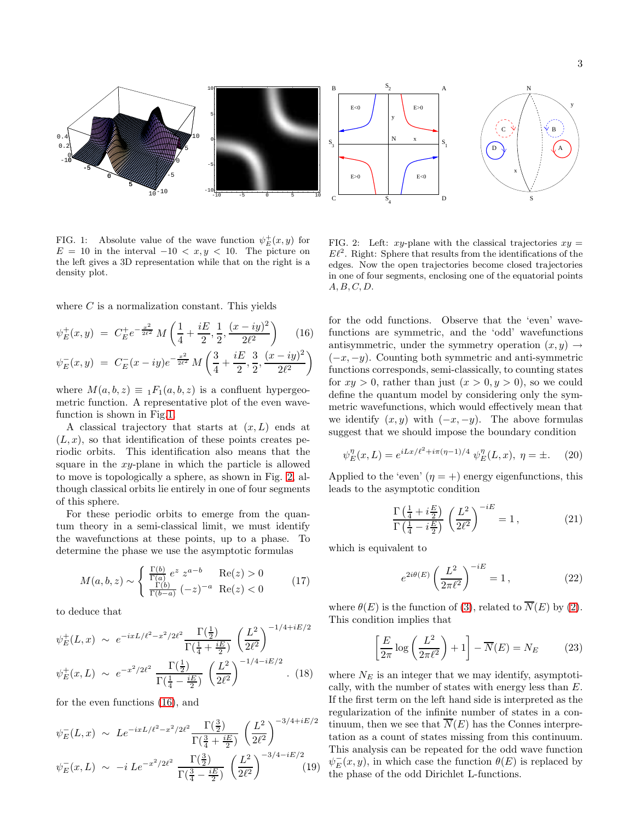

<span id="page-2-0"></span>FIG. 1: Absolute value of the wave function  $\psi_E^+(x, y)$  for  $E = 10$  in the interval  $-10 < x, y < 10$ . The picture on the left gives a 3D representation while that on the right is a density plot.

where  $C$  is a normalization constant. This yields

<span id="page-2-2"></span>
$$
\psi_E^+(x, y) = C_E^+ e^{-\frac{x^2}{2\ell^2}} M\left(\frac{1}{4} + \frac{iE}{2}, \frac{1}{2}, \frac{(x - iy)^2}{2\ell^2}\right) \tag{16}
$$
  

$$
\psi_E^-(x, y) = C_E^-(x - iy)e^{-\frac{x^2}{2\ell^2}} M\left(\frac{3}{4} + \frac{iE}{2}, \frac{3}{2}, \frac{(x - iy)^2}{2\ell^2}\right)
$$

where  $M(a, b, z) \equiv {}_1F_1(a, b, z)$  is a confluent hypergeometric function. A representative plot of the even wavefunction is shown in Fig[.1.](#page-2-0)

A classical trajectory that starts at  $(x, L)$  ends at  $(L, x)$ , so that identification of these points creates periodic orbits. This identification also means that the square in the xy-plane in which the particle is allowed to move is topologically a sphere, as shown in Fig. [2,](#page-2-1) although classical orbits lie entirely in one of four segments of this sphere.

For these periodic orbits to emerge from the quantum theory in a semi-classical limit, we must identify the wavefunctions at these points, up to a phase. To determine the phase we use the asymptotic formulas

$$
M(a,b,z) \sim \begin{cases} \frac{\Gamma(b)}{\Gamma(a)} e^z z^{a-b} & \text{Re}(z) > 0\\ \frac{\Gamma(b)}{\Gamma(b-a)} (-z)^{-a} & \text{Re}(z) < 0 \end{cases}
$$
(17)

to deduce that

$$
\psi_E^+(L, x) \sim e^{-ixL/\ell^2 - x^2/2\ell^2} \frac{\Gamma(\frac{1}{2})}{\Gamma(\frac{1}{4} + \frac{iE}{2})} \left(\frac{L^2}{2\ell^2}\right)^{-1/4 + iE/2}
$$

$$
\psi_E^+(x, L) \sim e^{-x^2/2\ell^2} \frac{\Gamma(\frac{1}{2})}{\Gamma(\frac{1}{4} - \frac{iE}{2})} \left(\frac{L^2}{2\ell^2}\right)^{-1/4 - iE/2} . \tag{18}
$$

for the even functions [\(16\)](#page-2-2), and

$$
\psi_E^-(L, x) \sim Le^{-ixL/\ell^2 - x^2/2\ell^2} \frac{\Gamma(\frac{3}{2})}{\Gamma(\frac{3}{4} + \frac{iE}{2})} \left(\frac{L^2}{2\ell^2}\right)^{-3/4 + iE/2}
$$

$$
\psi_E^-(x, L) \sim -i \, Le^{-x^2/2\ell^2} \frac{\Gamma(\frac{3}{2})}{\Gamma(\frac{3}{4} - \frac{iE}{2})} \left(\frac{L^2}{2\ell^2}\right)^{-3/4 - iE/2} \tag{19}
$$

<span id="page-2-1"></span>FIG. 2: Left: xy-plane with the classical trajectories  $xy =$  $E\ell^2$ . Right: Sphere that results from the identifications of the edges. Now the open trajectories become closed trajectories in one of four segments, enclosing one of the equatorial points  $A, B, C, D.$ 

for the odd functions. Observe that the 'even' wavefunctions are symmetric, and the 'odd' wavefunctions antisymmetric, under the symmetry operation  $(x, y) \rightarrow$  $(-x, -y)$ . Counting both symmetric and anti-symmetric functions corresponds, semi-classically, to counting states for  $xy > 0$ , rather than just  $(x > 0, y > 0)$ , so we could define the quantum model by considering only the symmetric wavefunctions, which would effectively mean that we identify  $(x, y)$  with  $(-x, -y)$ . The above formulas suggest that we should impose the boundary condition

$$
\psi_E^{\eta}(x,L) = e^{iLx/\ell^2 + i\pi(\eta - 1)/4} \psi_E^{\eta}(L, x), \ \eta = \pm. \tag{20}
$$

Applied to the 'even'  $(\eta = +)$  energy eigenfunctions, this leads to the asymptotic condition

$$
\frac{\Gamma\left(\frac{1}{4} + i\frac{E}{2}\right)}{\Gamma\left(\frac{1}{4} - i\frac{E}{2}\right)} \left(\frac{L^2}{2\ell^2}\right)^{-iE} = 1, \tag{21}
$$

which is equivalent to

$$
e^{2i\theta(E)}\left(\frac{L^2}{2\pi\ell^2}\right)^{-iE} = 1, \qquad (22)
$$

where  $\theta(E)$  is the function of [\(3\)](#page-0-1), related to  $\overline{N}(E)$  by [\(2\)](#page-0-2). This condition implies that

$$
\left[\frac{E}{2\pi}\log\left(\frac{L^2}{2\pi\ell^2}\right) + 1\right] - \overline{N}(E) = N_E \tag{23}
$$

where  $N_E$  is an integer that we may identify, asymptotically, with the number of states with energy less than E. If the first term on the left hand side is interpreted as the regularization of the infinite number of states in a continuum, then we see that  $\overline{N}(E)$  has the Connes interpretation as a count of states missing from this continuum. This analysis can be repeated for the odd wave function  $\psi_{E}^{-}(x, y)$ , in which case the function  $\theta(E)$  is replaced by the phase of the odd Dirichlet L-functions.